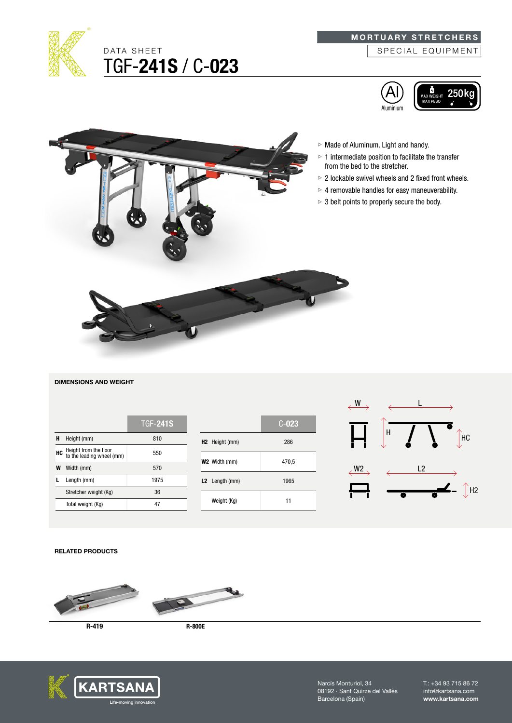

# MORTUARY STRETCHERS

SPECIAL EQUIPMENT







### DIMENSIONS AND WEIGHT

|    |                                                    | <b>TGF-241S</b> |
|----|----------------------------------------------------|-----------------|
| н  | Height (mm)                                        | 810             |
| HC | Height from the floor<br>to the leading wheel (mm) | 550             |
|    | Width (mm)                                         | 570             |
|    | Length (mm)                                        | 1975            |
|    | Stretcher weight (Kg)                              | 36              |
|    | Total weight (Kg)                                  |                 |

|                            | $C-023$ |
|----------------------------|---------|
| H <sub>2</sub> Height (mm) | 286     |
| W2 Width (mm)              | 470,5   |
| L2 Length (mm)             | 1965    |
| Weight (Kg)                | 11      |



### RELATED PRODUCTS



R-419





Narcís Monturiol, 34 08192 · Sant Quirze del Vallès Barcelona (Spain)

T.: +34 93 715 86 72 info@kartsana.com www.kartsana.com